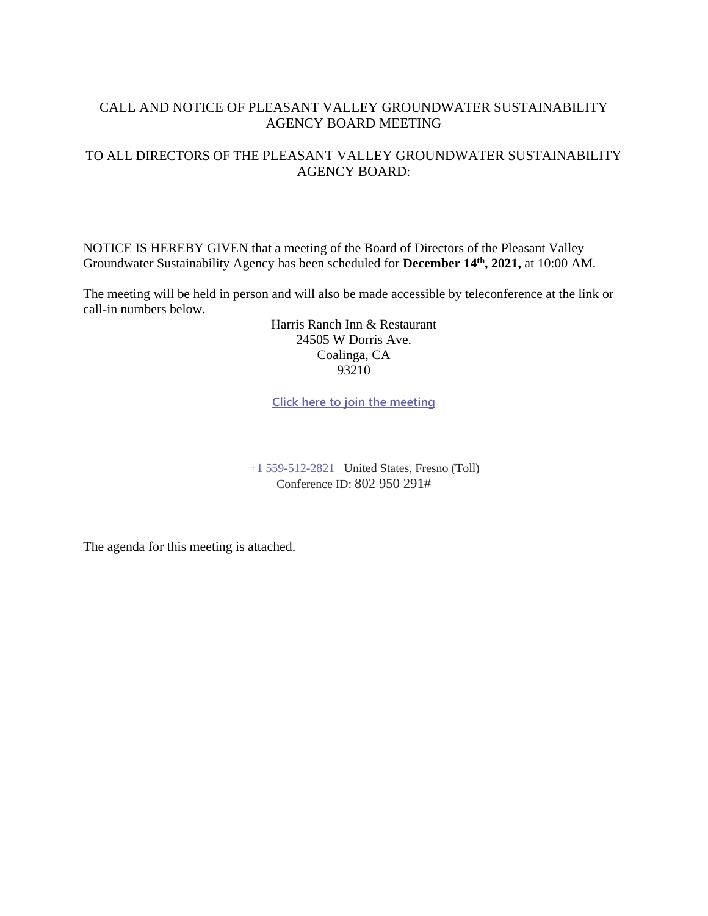### CALL AND NOTICE OF PLEASANT VALLEY GROUNDWATER SUSTAINABILITY AGENCY BOARD MEETING

### TO ALL DIRECTORS OF THE PLEASANT VALLEY GROUNDWATER SUSTAINABILITY AGENCY BOARD:

NOTICE IS HEREBY GIVEN that a meeting of the Board of Directors of the Pleasant Valley Groundwater Sustainability Agency has been scheduled for **December 14th , 2021,** at 10:00 AM.

The meeting will be held in person and will also be made accessible by teleconference at the link or call-in numbers below.

> Harris Ranch Inn & Restaurant 24505 W Dorris Ave. Coalinga, CA 93210

**[Click here to join the meeting](https://teams.microsoft.com/l/meetup-join/19%3ameeting_MzQxZjg4MzItM2EyOC00NGM0LWJkN2YtOTE3NzdmYjUxZmI3%40thread.v2/0?context=%7b%22Tid%22%3a%22a6cf659f-2360-4ff9-9e8d-045f48434ada%22%2c%22Oid%22%3a%22d7c07c21-aea1-4965-a48d-46a35d2818b4%22%7d)**

[+1 559-512-2821](tel:+15595122821,,85232084# ) United States, Fresno (Toll) Conference ID: 802 950 291#

The agenda for this meeting is attached.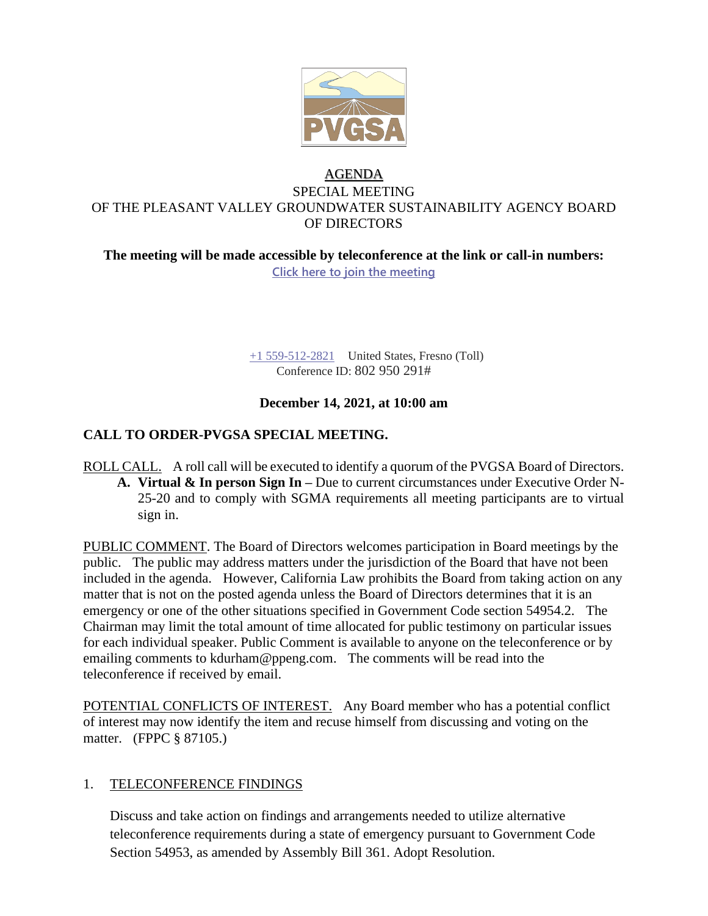

# AGENDA SPECIAL MEETING OF THE PLEASANT VALLEY GROUNDWATER SUSTAINABILITY AGENCY BOARD OF DIRECTORS

**The meeting will be made accessible by teleconference at the link or call-in numbers: [Click here to join the meeting](https://teams.microsoft.com/l/meetup-join/19%3ameeting_MzQxZjg4MzItM2EyOC00NGM0LWJkN2YtOTE3NzdmYjUxZmI3%40thread.v2/0?context=%7b%22Tid%22%3a%22a6cf659f-2360-4ff9-9e8d-045f48434ada%22%2c%22Oid%22%3a%22d7c07c21-aea1-4965-a48d-46a35d2818b4%22%7d)**

> [+1 559-512-2821](tel:+15595122821,,85232084# ) United States, Fresno (Toll) Conference ID: 802 950 291#

# **December 14, 2021, at 10:00 am**

# **CALL TO ORDER-PVGSA SPECIAL MEETING.**

ROLL CALL. A roll call will be executed to identify a quorum of the PVGSA Board of Directors. **A. Virtual & In person Sign In –** Due to current circumstances under Executive Order N-25-20 and to comply with SGMA requirements all meeting participants are to virtual sign in.

PUBLIC COMMENT. The Board of Directors welcomes participation in Board meetings by the public. The public may address matters under the jurisdiction of the Board that have not been included in the agenda. However, California Law prohibits the Board from taking action on any matter that is not on the posted agenda unless the Board of Directors determines that it is an emergency or one of the other situations specified in Government Code section 54954.2. The Chairman may limit the total amount of time allocated for public testimony on particular issues for each individual speaker. Public Comment is available to anyone on the teleconference or by emailing comments to kdurham@ppeng.com. The comments will be read into the teleconference if received by email.

POTENTIAL CONFLICTS OF INTEREST. Any Board member who has a potential conflict of interest may now identify the item and recuse himself from discussing and voting on the matter. (FPPC § 87105.)

### 1. TELECONFERENCE FINDINGS

Discuss and take action on findings and arrangements needed to utilize alternative teleconference requirements during a state of emergency pursuant to Government Code Section 54953, as amended by Assembly Bill 361. Adopt Resolution.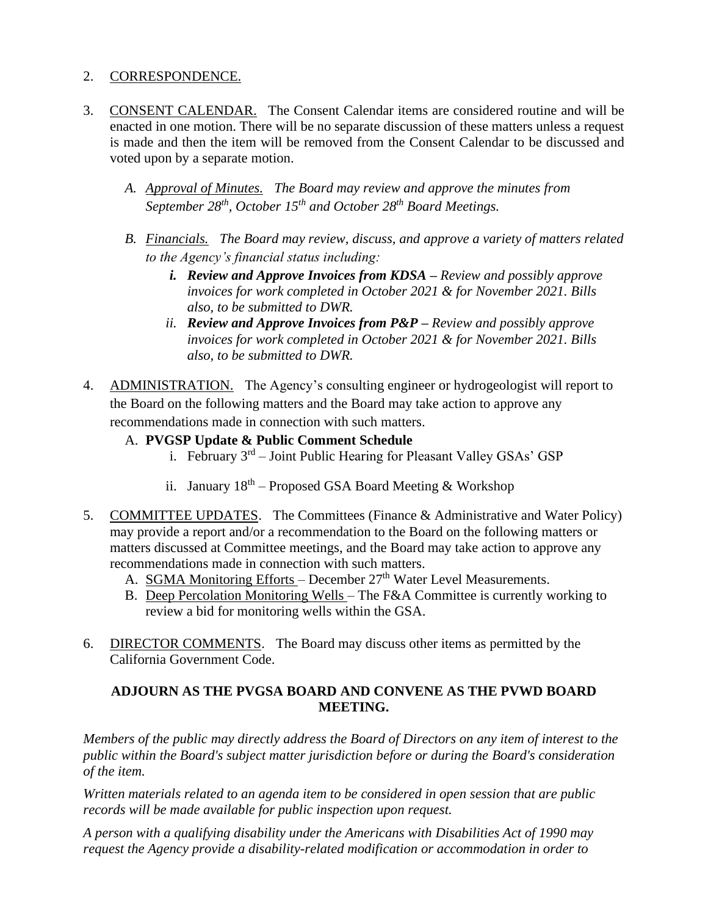## 2. CORRESPONDENCE.

- 3. CONSENT CALENDAR. The Consent Calendar items are considered routine and will be enacted in one motion. There will be no separate discussion of these matters unless a request is made and then the item will be removed from the Consent Calendar to be discussed and voted upon by a separate motion.
	- *A. Approval of Minutes. The Board may review and approve the minutes from September 28th, October 15th and October 28th Board Meetings.*
	- *B. Financials. The Board may review, discuss, and approve a variety of matters related to the Agency's financial status including:* 
		- *i. Review and Approve Invoices from KDSA – Review and possibly approve invoices for work completed in October 2021 & for November 2021. Bills also, to be submitted to DWR.*
		- *ii. Review and Approve Invoices from P&P – Review and possibly approve invoices for work completed in October 2021 & for November 2021. Bills also, to be submitted to DWR.*
- 4. ADMINISTRATION. The Agency's consulting engineer or hydrogeologist will report to the Board on the following matters and the Board may take action to approve any recommendations made in connection with such matters.
	- A. **PVGSP Update & Public Comment Schedule**
		- i. February 3<sup>rd</sup> Joint Public Hearing for Pleasant Valley GSAs' GSP
		- ii. January  $18<sup>th</sup>$  Proposed GSA Board Meeting & Workshop
- 5. COMMITTEE UPDATES. The Committees (Finance & Administrative and Water Policy) may provide a report and/or a recommendation to the Board on the following matters or matters discussed at Committee meetings, and the Board may take action to approve any recommendations made in connection with such matters.
	- A. SGMA Monitoring Efforts December  $27<sup>th</sup>$  Water Level Measurements.
	- B. Deep Percolation Monitoring Wells The F&A Committee is currently working to review a bid for monitoring wells within the GSA.
- 6. DIRECTOR COMMENTS. The Board may discuss other items as permitted by the California Government Code.

### **ADJOURN AS THE PVGSA BOARD AND CONVENE AS THE PVWD BOARD MEETING.**

*Members of the public may directly address the Board of Directors on any item of interest to the public within the Board's subject matter jurisdiction before or during the Board's consideration of the item.*

*Written materials related to an agenda item to be considered in open session that are public records will be made available for public inspection upon request.*

*A person with a qualifying disability under the Americans with Disabilities Act of 1990 may request the Agency provide a disability-related modification or accommodation in order to*